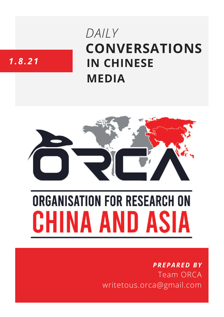# **CONVERSATIONS IN CHINESE MEDIA** *DAILY*

## *1.8.21*



# **ORGANISATION FOR RESEARCH ON** HINA AND ASIA

### *PREPARED BY* Team ORCA writetous.orca@gmail.com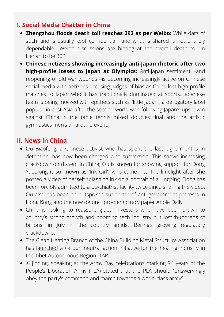#### **I. Social Media Chatter in China**

- **Zhengzhou floods death toll reaches 292 as per Weibo:** While data of such kind is usually kept confidential –and what is shared is not entirely dependable –Weibo [discussions](https://twitter.com/Byron_Wan/status/1422164856921214980/photo/1) are hinting at the overall death toll in Henan to be 302.
- **Chinese netizens showing increasingly anti-Japan rhetoric after two high-profile losses to Japan at Olympics:** Anti-Japan sentiment –and reopening of old war wounds –is becoming [increasingly](https://www.scmp.com/sport/china/article/3143294/tokyo-olympics-anti-japanese-sentiment-spills-over-angry-chinese) active on Chinese social media with netizens accusing judges of bias as China lost high-profile matches to Japan who it has traditionally dominated at sports. Japanese team is being mocked with epithets such as "little Japan", a derogatory label popular in east Asia after the second world war, following Japan's upset win against China in the table tennis mixed doubles final and the artistic gymnastics men's all-around event.

#### **II. News in China**

- Ou Biaofeng, a Chinese activist who has spent the last eight months in detention, has now been charged with subversion. This shows increasing crackdown on dissent in China; Ou is known for showing support for Dong Yaoqiong (also known as 'Ink Girl') who came into the limelight after she posted a video of herself splashing ink on a portrait of Xi Jingping. Dong has been forcibly admitted to a psychiatrist facility twice since sharing the video. Ou also has been an outspoken supporter of anti-government protests in Hong Kong and the now defunct pro-democracy paper Apple Daily.
- China is looking to [reassure](https://www.wsj.com/articles/investors-rethink-china-bets-after-beijing-crackdown-triggers-stock-market-rout-11627669954?reflink=desktopwebshare_twitter) global investors who have been drawn to country's strong growth and booming tech industry but lost 'hundreds of billions' in July in the country amidst Beijing's growing regulatory crackdowns.
- The Clean Heating Branch of the China Building Metal Structure Association has [launched](http://www.legaldaily.com.cn/index/content/2021-08/01/content_8568835.htm) a carbon neutral action initiative for the heating industry in the Tibet Autonomous Region (TAR).
- Xi Jinping, speaking at the Army Day celebrations marking 94 years of the People's Liberation Army (PLA) [stated](https://www.guancha.cn/politics/2021_08_01_601201.shtml) that the PLA should "unswervingly obey the party's command and march towards a world-class army".